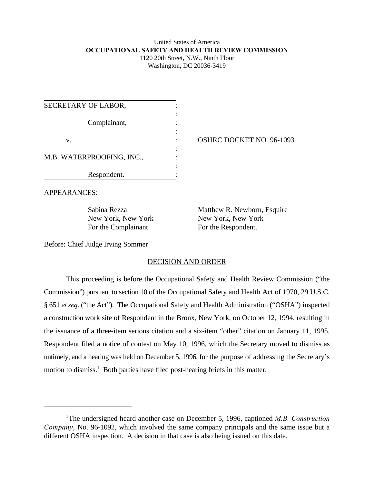### United States of America **OCCUPATIONAL SAFETY AND HEALTH REVIEW COMMISSION** 1120 20th Street, N.W., Ninth Floor Washington, DC 20036-3419

| SECRETARY OF LABOR,       |  |
|---------------------------|--|
| Complainant,              |  |
| v.                        |  |
| M.B. WATERPROOFING, INC., |  |
| Respondent.               |  |

OSHRC DOCKET NO. 96-1093

APPEARANCES:

For the Complainant. For the Respondent.

Sabina Rezza Matthew R. Newborn, Esquire New York, New York New York, New York

Before: Chief Judge Irving Sommer

# DECISION AND ORDER

This proceeding is before the Occupational Safety and Health Review Commission ("the Commission") pursuant to section 10 of the Occupational Safety and Health Act of 1970, 29 U.S.C. § 651 *et seq*. ("the Act"). The Occupational Safety and Health Administration ("OSHA") inspected a construction work site of Respondent in the Bronx, New York, on October 12, 1994, resulting in the issuance of a three-item serious citation and a six-item "other" citation on January 11, 1995. Respondent filed a notice of contest on May 10, 1996, which the Secretary moved to dismiss as untimely, and a hearing was held on December 5, 1996, for the purpose of addressing the Secretary's motion to dismiss. $<sup>1</sup>$  Both parties have filed post-hearing briefs in this matter.</sup>

<sup>&</sup>lt;sup>1</sup>The undersigned heard another case on December 5, 1996, captioned *M.B. Construction Company*, No. 96-1092, which involved the same company principals and the same issue but a different OSHA inspection. A decision in that case is also being issued on this date.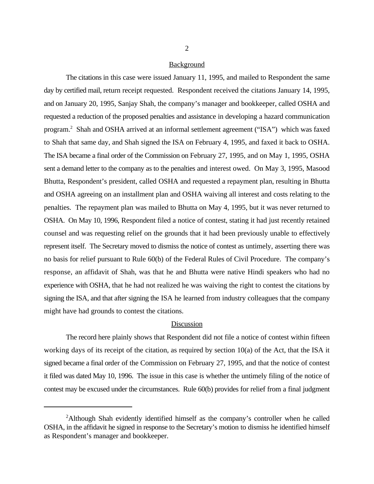#### Background

The citations in this case were issued January 11, 1995, and mailed to Respondent the same day by certified mail, return receipt requested. Respondent received the citations January 14, 1995, and on January 20, 1995, Sanjay Shah, the company's manager and bookkeeper, called OSHA and requested a reduction of the proposed penalties and assistance in developing a hazard communication program.<sup>2</sup> Shah and OSHA arrived at an informal settlement agreement ("ISA") which was faxed to Shah that same day, and Shah signed the ISA on February 4, 1995, and faxed it back to OSHA. The ISA became a final order of the Commission on February 27, 1995, and on May 1, 1995, OSHA sent a demand letter to the company as to the penalties and interest owed. On May 3, 1995, Masood Bhutta, Respondent's president, called OSHA and requested a repayment plan, resulting in Bhutta and OSHA agreeing on an installment plan and OSHA waiving all interest and costs relating to the penalties. The repayment plan was mailed to Bhutta on May 4, 1995, but it was never returned to OSHA. On May 10, 1996, Respondent filed a notice of contest, stating it had just recently retained counsel and was requesting relief on the grounds that it had been previously unable to effectively represent itself. The Secretary moved to dismiss the notice of contest as untimely, asserting there was no basis for relief pursuant to Rule 60(b) of the Federal Rules of Civil Procedure. The company's response, an affidavit of Shah, was that he and Bhutta were native Hindi speakers who had no experience with OSHA, that he had not realized he was waiving the right to contest the citations by signing the ISA, and that after signing the ISA he learned from industry colleagues that the company might have had grounds to contest the citations.

### Discussion

The record here plainly shows that Respondent did not file a notice of contest within fifteen working days of its receipt of the citation, as required by section 10(a) of the Act, that the ISA it signed became a final order of the Commission on February 27, 1995, and that the notice of contest it filed was dated May 10, 1996. The issue in this case is whether the untimely filing of the notice of contest may be excused under the circumstances. Rule 60(b) provides for relief from a final judgment

 $A$ lthough Shah evidently identified himself as the company's controller when he called OSHA, in the affidavit he signed in response to the Secretary's motion to dismiss he identified himself as Respondent's manager and bookkeeper.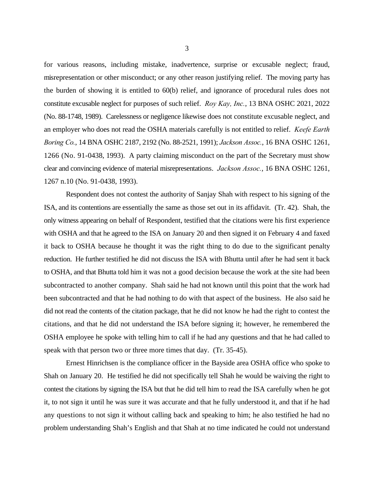for various reasons, including mistake, inadvertence, surprise or excusable neglect; fraud, misrepresentation or other misconduct; or any other reason justifying relief. The moving party has the burden of showing it is entitled to 60(b) relief, and ignorance of procedural rules does not constitute excusable neglect for purposes of such relief. *Roy Kay, Inc.*, 13 BNA OSHC 2021, 2022 (No. 88-1748, 1989). Carelessness or negligence likewise does not constitute excusable neglect, and an employer who does not read the OSHA materials carefully is not entitled to relief. *Keefe Earth Boring Co.*, 14 BNA OSHC 2187, 2192 (No. 88-2521, 1991); *Jackson Assoc.*, 16 BNA OSHC 1261, 1266 (No. 91-0438, 1993). A party claiming misconduct on the part of the Secretary must show clear and convincing evidence of material misrepresentations. *Jackson Assoc.*, 16 BNA OSHC 1261, 1267 n.10 (No. 91-0438, 1993).

Respondent does not contest the authority of Sanjay Shah with respect to his signing of the ISA, and its contentions are essentially the same as those set out in its affidavit. (Tr. 42). Shah, the only witness appearing on behalf of Respondent, testified that the citations were his first experience with OSHA and that he agreed to the ISA on January 20 and then signed it on February 4 and faxed it back to OSHA because he thought it was the right thing to do due to the significant penalty reduction. He further testified he did not discuss the ISA with Bhutta until after he had sent it back to OSHA, and that Bhutta told him it was not a good decision because the work at the site had been subcontracted to another company. Shah said he had not known until this point that the work had been subcontracted and that he had nothing to do with that aspect of the business. He also said he did not read the contents of the citation package, that he did not know he had the right to contest the citations, and that he did not understand the ISA before signing it; however, he remembered the OSHA employee he spoke with telling him to call if he had any questions and that he had called to speak with that person two or three more times that day. (Tr. 35-45).

Ernest Hinrichsen is the compliance officer in the Bayside area OSHA office who spoke to Shah on January 20. He testified he did not specifically tell Shah he would be waiving the right to contest the citations by signing the ISA but that he did tell him to read the ISA carefully when he got it, to not sign it until he was sure it was accurate and that he fully understood it, and that if he had any questions to not sign it without calling back and speaking to him; he also testified he had no problem understanding Shah's English and that Shah at no time indicated he could not understand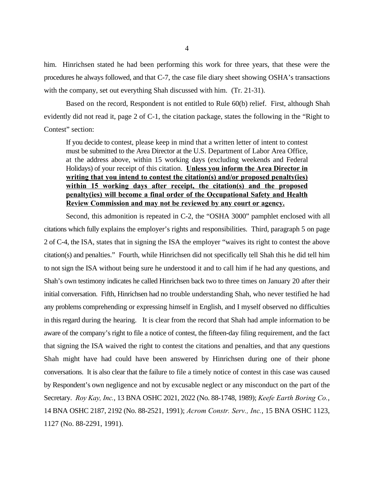him. Hinrichsen stated he had been performing this work for three years, that these were the procedures he always followed, and that C-7, the case file diary sheet showing OSHA's transactions with the company, set out everything Shah discussed with him. (Tr. 21-31).

Based on the record, Respondent is not entitled to Rule 60(b) relief. First, although Shah evidently did not read it, page 2 of C-1, the citation package, states the following in the "Right to Contest" section:

If you decide to contest, please keep in mind that a written letter of intent to contest must be submitted to the Area Director at the U.S. Department of Labor Area Office, at the address above, within 15 working days (excluding weekends and Federal Holidays) of your receipt of this citation. **Unless you inform the Area Director in writing that you intend to contest the citation(s) and/or proposed penalty(ies) within 15 working days after receipt, the citation(s) and the proposed penalty(ies) will become a final order of the Occupational Safety and Health Review Commission and may not be reviewed by any court or agency.**

Second, this admonition is repeated in C-2, the "OSHA 3000" pamphlet enclosed with all citations which fully explains the employer's rights and responsibilities. Third, paragraph 5 on page 2 of C-4, the ISA, states that in signing the ISA the employer "waives its right to contest the above citation(s) and penalties." Fourth, while Hinrichsen did not specifically tell Shah this he did tell him to not sign the ISA without being sure he understood it and to call him if he had any questions, and Shah's own testimony indicates he called Hinrichsen back two to three times on January 20 after their initial conversation. Fifth, Hinrichsen had no trouble understanding Shah, who never testified he had any problems comprehending or expressing himself in English, and I myself observed no difficulties in this regard during the hearing. It is clear from the record that Shah had ample information to be aware of the company's right to file a notice of contest, the fifteen-day filing requirement, and the fact that signing the ISA waived the right to contest the citations and penalties, and that any questions Shah might have had could have been answered by Hinrichsen during one of their phone conversations. It is also clear that the failure to file a timely notice of contest in this case was caused by Respondent's own negligence and not by excusable neglect or any misconduct on the part of the Secretary. *Roy Kay, Inc.*, 13 BNA OSHC 2021, 2022 (No. 88-1748, 1989); *Keefe Earth Boring Co.*, 14 BNA OSHC 2187, 2192 (No. 88-2521, 1991); *Acrom Constr. Serv., Inc.*, 15 BNA OSHC 1123, 1127 (No. 88-2291, 1991).